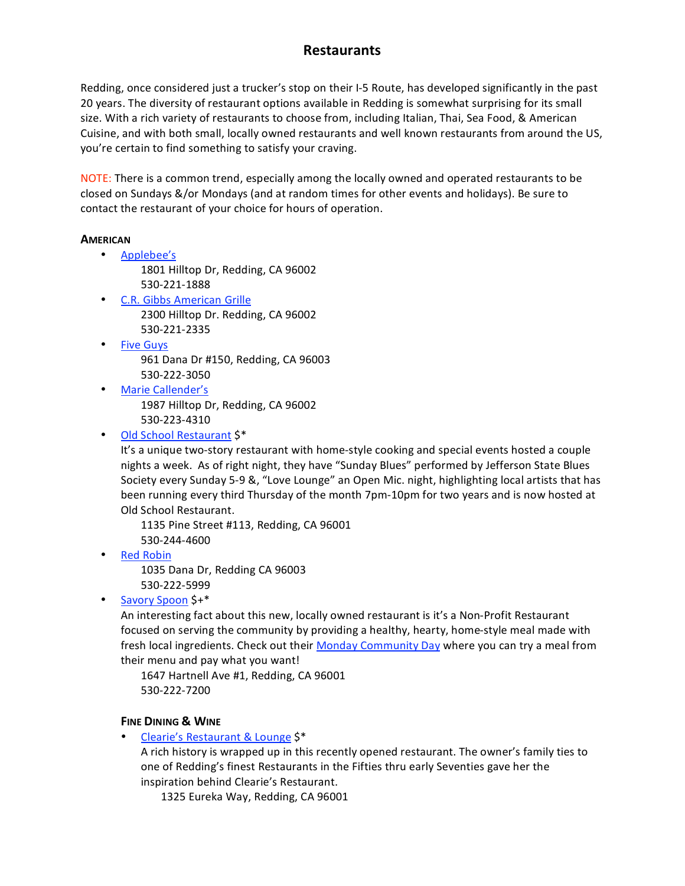Redding, once considered just a trucker's stop on their I-5 Route, has developed significantly in the past 20 years. The diversity of restaurant options available in Redding is somewhat surprising for its small size. With a rich variety of restaurants to choose from, including Italian, Thai, Sea Food, & American Cuisine, and with both small, locally owned restaurants and well known restaurants from around the US, you're
certain
to
find
something
to
satisfy
your
craving.

NOTE: There is a common trend, especially among the locally owned and operated restaurants to be closed on Sundays &/or Mondays (and at random times for other events and holidays). Be sure to contact
the
restaurant
of
your
choice
for
hours
of
operation.

#### **AMERICAN**

- Applebee's
	- 1801
	Hilltop
	Dr,
	Redding,
	CA
	96002 530‐221‐1888
- C.R.
Gibbs
American
Grille 2300
Hilltop
Dr.
Redding,
CA
96002 530‐221‐2335
- Five
Guys 961
Dana
Dr
#150,
Redding,
CA
96003 530‐222‐3050
- Marie
Callender's 1987
Hilltop
Dr,
Redding,
CA
96002 530‐223‐4310
- Old
School
Restaurant
\$\*

It's a unique two-story restaurant with home-style cooking and special events hosted a couple nights a week. As of right night, they have "Sunday Blues" performed by Jefferson State Blues Society every Sunday 5-9 &, "Love Lounge" an Open Mic. night, highlighting local artists that has been running every third Thursday of the month 7pm-10pm for two years and is now hosted at Old
School
Restaurant.

1135
Pine
Street
#113,
Redding,
CA
96001 530‐244‐4600

• Red
Robin

1035
Dana
Dr,
Redding
CA
96003 530‐222‐5999

• Savory
Spoon
\$+\*

An interesting fact about this new, locally owned restaurant is it's a Non-Profit Restaurant focused on serving the community by providing a healthy, hearty, home-style meal made with fresh local ingredients. Check out their Monday Community Day where you can try a meal from their
menu
and
pay
what
you
want!

1647 Hartnell Ave #1, Redding, CA 96001 530‐222‐7200

### **FINE
DINING &
WINE**

Clearie's Restaurant & Lounge \$\*

A rich history is wrapped up in this recently opened restaurant. The owner's family ties to one of Redding's finest Restaurants in the Fifties thru early Seventies gave her the inspiration
behind
Clearie's
Restaurant.

1325
Eureka
Way,
Redding,
CA
96001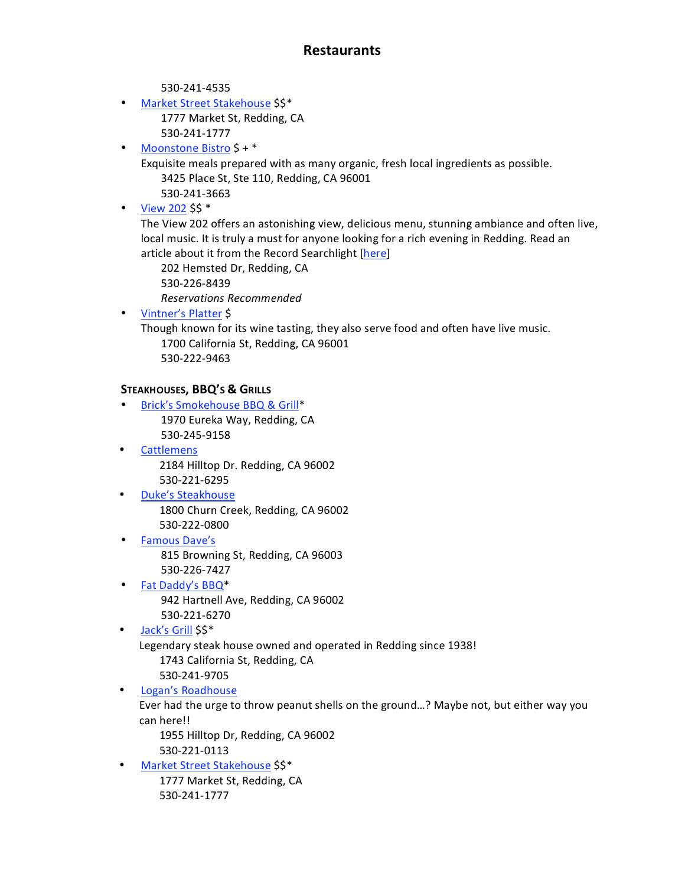530‐241‐4535

- Market Street Stakehouse \$\$\* 1777
Market
St,
Redding,
CA 530‐241‐1777
- Moonstone Bistro \$ + \*
	- Exquisite
	meals
	prepared
	with
	as
	many
	organic,
	fresh
	local
	ingredients
	as
	possible. 3425
	Place
	St,
	Ste
	110,
	Redding,
	CA
	96001
		- 530‐241‐3663
- $\cdot$  View 202 \$\$ $*$

The View 202 offers an astonishing view, delicious menu, stunning ambiance and often live, local music. It is truly a must for anyone looking for a rich evening in Redding. Read an article about it from the Record Searchlight [here]

202
Hemsted
Dr,
Redding,
CA 530‐226‐8439 *Reservations
Recommended*

• Vintner's
Platter
\$

Though
known
for
its
wine
tasting,
they
also
serve
food
and
often
have
live
music. 1700
California
St,
Redding,
CA
96001 530‐222‐9463

### **STEAKHOUSES,
BBQ'S
&
GRILLS**

- Brick's Smokehouse BBQ & Grill\* 1970
Eureka
Way,
Redding,
CA 530‐245‐9158
- **Cattlemens** 2184
Hilltop
Dr.
Redding,
CA
96002 530‐221‐6295
- Duke's
Steakhouse 1800
Churn
Creek,
Redding,
CA
96002 530‐222‐0800
- Famous
Dave's 815
Browning
St,
Redding,
CA
96003 530‐226‐7427
- Fat Daddy's BBQ\* 942
Hartnell
Ave,
Redding,
CA
96002 530‐221‐6270
- Jack's Grill \$\$\*

Legendary steak house owned and operated in Redding since 1938! 1743
California
St,
Redding,
CA

- 530‐241‐9705
- Logan's
Roadhouse

Ever had the urge to throw peanut shells on the ground...? Maybe not, but either way you can
here!!

1955
Hilltop
Dr,
Redding,
CA
96002 530‐221‐0113

• Market Street Stakehouse \$\$\* 1777
Market
St,
Redding,
CA 530‐241‐1777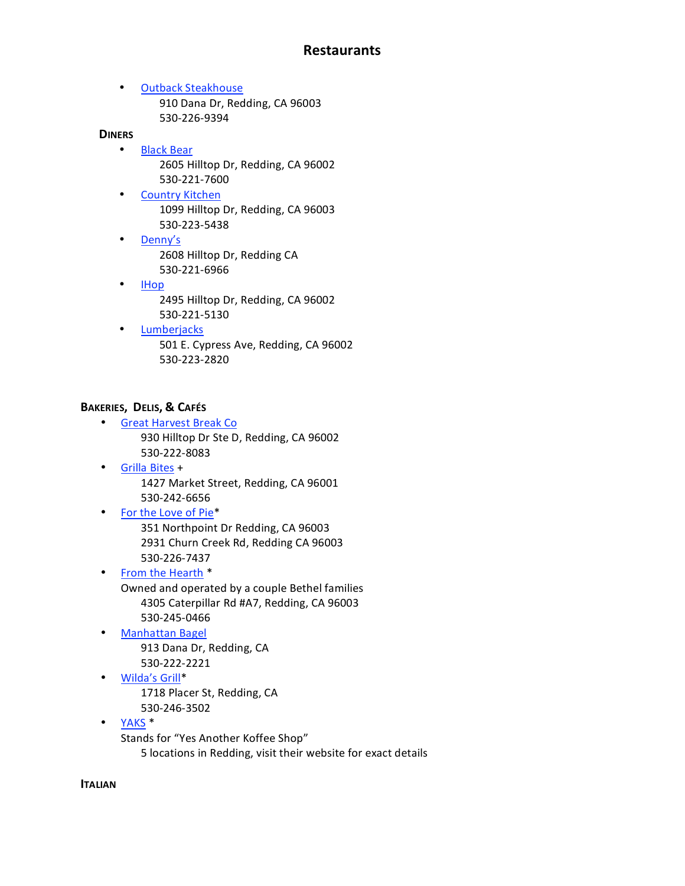• Outback
Steakhouse 910
Dana
Dr,
Redding,
CA
96003 530‐226‐9394

#### **DINERS**

- Black
Bear 2605
Hilltop
Dr,
Redding,
CA
96002 530‐221‐7600
- Country
Kitchen 1099
Hilltop
Dr,
Redding,
CA
96003 530‐223‐5438
- Denny's 2608
Hilltop
Dr,
Redding
CA 530‐221‐6966
- IHop 2495
Hilltop
Dr,
Redding,
CA
96002 530‐221‐5130
- Lumberjacks 501
E.
Cypress
Ave,
Redding,
CA
96002 530‐223‐2820

## **BAKERIES, DELIS, &
CAFÉS**

- Great
Harvest
Break
Co 930
Hilltop
Dr
Ste
D,
Redding,
CA
96002 530‐222‐8083
- Grilla
Bites
+ 1427
Market
Street,
Redding,
CA
96001 530‐242‐6656
- For the Love of Pie\* 351
Northpoint
Dr
Redding,
CA
96003 2931
Churn
Creek
Rd,
Redding
CA
96003 530‐226‐7437
- From the Hearth \* Owned
and
operated
by
a
couple
Bethel
families 4305
Caterpillar
Rd
#A7,
Redding,
CA
96003 530‐245‐0466
- Manhattan
Bagel 913
Dana
Dr,
Redding,
CA 530‐222‐2221
- Wilda's
Grill\* 1718
Placer
St,
Redding,
CA 530‐246‐3502
- YAKS
\* Stands
for
"Yes
Another
Koffee
Shop" 5
locations
in
Redding,
visit
their
website
for
exact
details

**ITALIAN**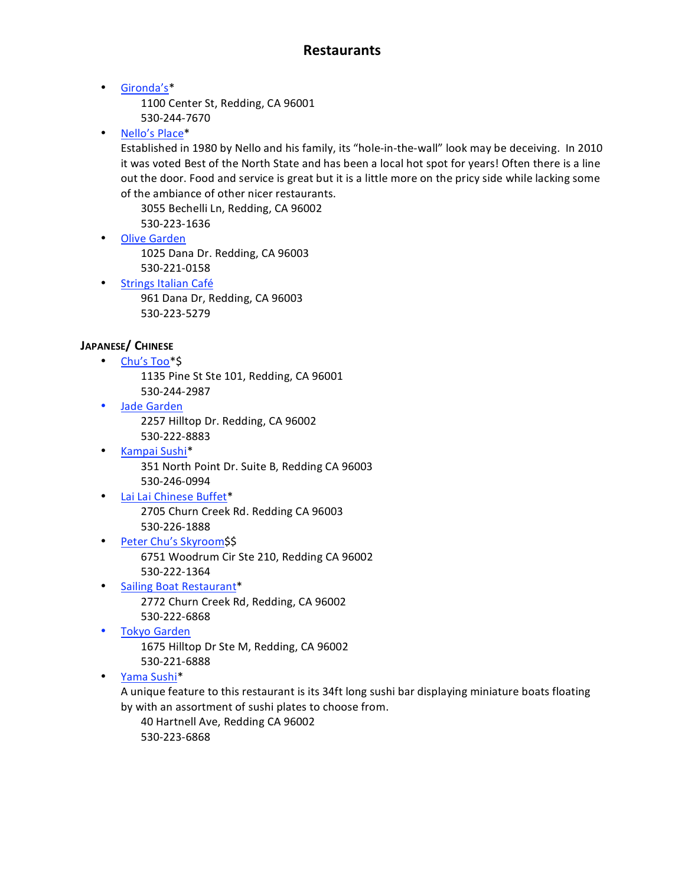• Gironda's\*

1100
Center
St,
Redding,
CA
96001 530‐244‐7670

• Nello's
Place\*

Established in 1980 by Nello and his family, its "hole-in-the-wall" look may be deceiving. In 2010 it was voted Best of the North State and has been a local hot spot for years! Often there is a line out the door. Food and service is great but it is a little more on the pricy side while lacking some of
the
ambiance
of
other
nicer
restaurants.

3055
Bechelli
Ln,
Redding,
CA
96002 530‐223‐1636

- Olive
Garden 1025
Dana
Dr.
Redding,
CA
96003 530‐221‐0158
- Strings
Italian
Café 961
Dana
Dr,
Redding,
CA
96003 530‐223‐5279

## **JAPANESE/
CHINESE**

- Chu's Too\*\$ 1135
Pine
St
Ste
101,
Redding,
CA
96001 530‐244‐2987
- Jade Garden 2257
Hilltop
Dr.
Redding,
CA
96002 530‐222‐8883
- Kampai
Sushi\* 351
North
Point
Dr.
Suite
B,
Redding
CA
96003 530‐246‐0994
- Lai
Lai
Chinese
Buffet\* 2705
Churn
Creek
Rd.
Redding
CA
96003 530‐226‐1888
- Peter
Chu's
Skyroom\$\$ 6751
Woodrum
Cir
Ste
210,
Redding
CA
96002 530‐222‐1364
- Sailing
Boat
Restaurant\* 2772
Churn
Creek
Rd,
Redding,
CA
96002 530‐222‐6868
- Tokyo
Garden

1675
Hilltop
Dr
Ste
M, Redding, CA 96002 530‐221‐6888

• Yama
Sushi\*

A unique feature to this restaurant is its 34ft long sushi bar displaying miniature boats floating by
with
an
assortment
of
sushi
plates
to
choose
from.

40
Hartnell
Ave,
Redding
CA
96002 530‐223‐6868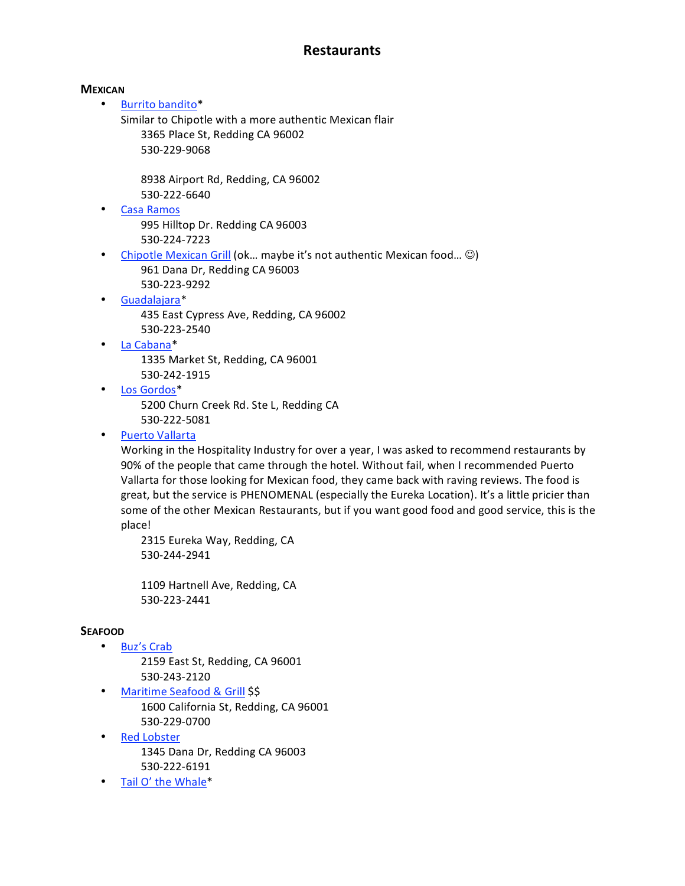#### **MEXICAN**

• Burrito
bandito\*

Similar
to
Chipotle
with
a
more
authentic
Mexican
flair 3365
Place
St,
Redding
CA
96002 530‐229‐9068

8938
Airport
Rd,
Redding,
CA
96002 530‐222‐6640

- Casa
Ramos 995
Hilltop
Dr.
Redding
CA
96003 530‐224‐7223
- Chipotle Mexican Grill (ok... maybe it's not authentic Mexican food...  $\odot$ ) 961
Dana
Dr,
Redding
CA
96003 530‐223‐9292
- Guadalajara\* 435
East
Cypress
Ave,
Redding,
CA
96002 530‐223‐2540
	- La
	Cabana\* 1335
	Market
	St,
	Redding,
	CA
	96001 530‐242‐1915
- Los
Gordos\*

5200
Churn
Creek
Rd.
Ste
L,
Redding
CA 530‐222‐5081

• Puerto
Vallarta

Working in the Hospitality Industry for over a year, I was asked to recommend restaurants by 90%
of
the
people
that
came
through
the
hotel.
Without
fail,
when
I
recommended
Puerto Vallarta for those looking for Mexican food, they came back with raving reviews. The food is great, but the service is PHENOMENAL (especially the Eureka Location). It's a little pricier than some of the other Mexican Restaurants, but if you want good food and good service, this is the place!

2315
Eureka
Way,
Redding,
CA 530‐244‐2941

1109
Hartnell
Ave,
Redding,
CA 530‐223‐2441

### **SEAFOOD**

• Buz's
Crab

2159
East
St,
Redding,
CA
96001 530‐243‐2120

- Maritime Seafood & Grill \$\$ 1600
California
St,
Redding,
CA
96001 530‐229‐0700
- Red
Lobster 1345
Dana
Dr,
Redding
CA
96003 530‐222‐6191
- Tail O' the Whale\*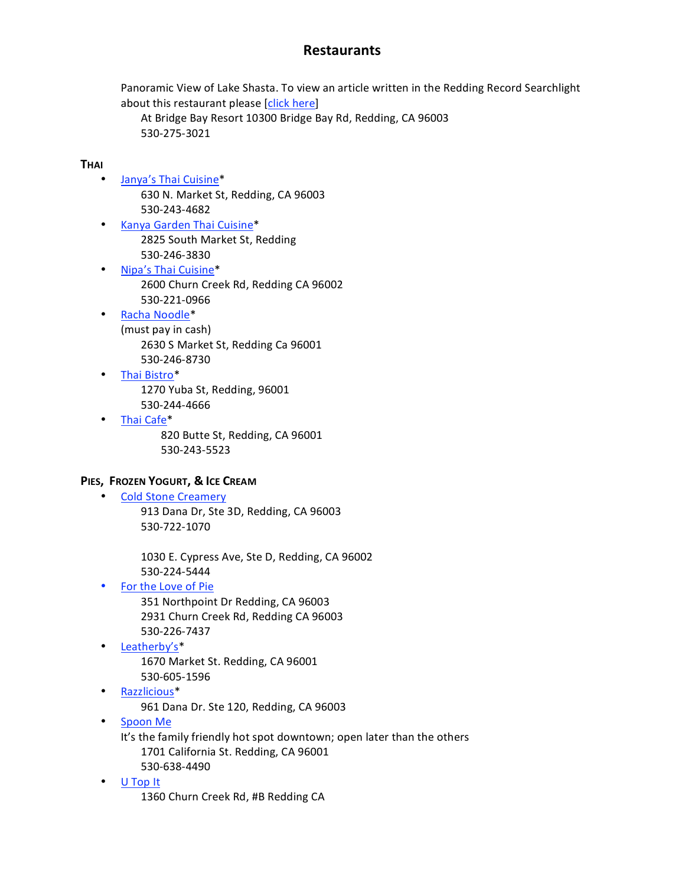Panoramic View of Lake Shasta. To view an article written in the Redding Record Searchlight about
this
restaurant
please
[click
here]

At
Bridge
Bay
Resort
10300
Bridge
Bay
Rd,
Redding,
CA
96003 530‐275‐3021

### **THAI**

- Janya's
Thai
Cuisine\* 630
N.
Market
St,
Redding,
CA
96003 530‐243‐4682
- Kanya
Garden
Thai
Cuisine\* 2825
South
Market
St,
Redding 530‐246‐3830
- Nipa's
Thai
Cuisine\* 2600
Churn
Creek
Rd,
Redding
CA
96002 530‐221‐0966
- Racha
Noodle\* (must
pay
in
cash) 2630
S
Market
St,
Redding
Ca
96001 530‐246‐8730
	- Thai
	Bistro\* 1270
	Yuba
	St,
	Redding,
	96001 530‐244‐4666
- Thai
Cafe\*

820
Butte
St,
Redding,
CA
96001 530‐243‐5523

### **PIES, FROZEN
YOGURT,
& ICE
CREAM**

• Cold
Stone
Creamery 913
Dana
Dr,
Ste
3D,
Redding,
CA
96003 530‐722‐1070

> 1030
> E.
> Cypress
> Ave,
> Ste
> D,
> Redding,
> CA
> 96002 530‐224‐5444

• For
the
Love
of
Pie

351
Northpoint
Dr
Redding,
CA
96003 2931
Churn
Creek
Rd,
Redding
CA
96003 530‐226‐7437

- Leatherby's\* 1670
Market
St.
Redding,
CA
96001 530‐605‐1596
- Razzlicious\*

961
Dana
Dr.
Ste
120,
Redding,
CA
96003

• Spoon
Me

It's the family friendly hot spot downtown; open later than the others 1701
California
St.
Redding,
CA
96001 530‐638‐4490

• U
Top
It

1360
Churn
Creek
Rd,
#B
Redding
CA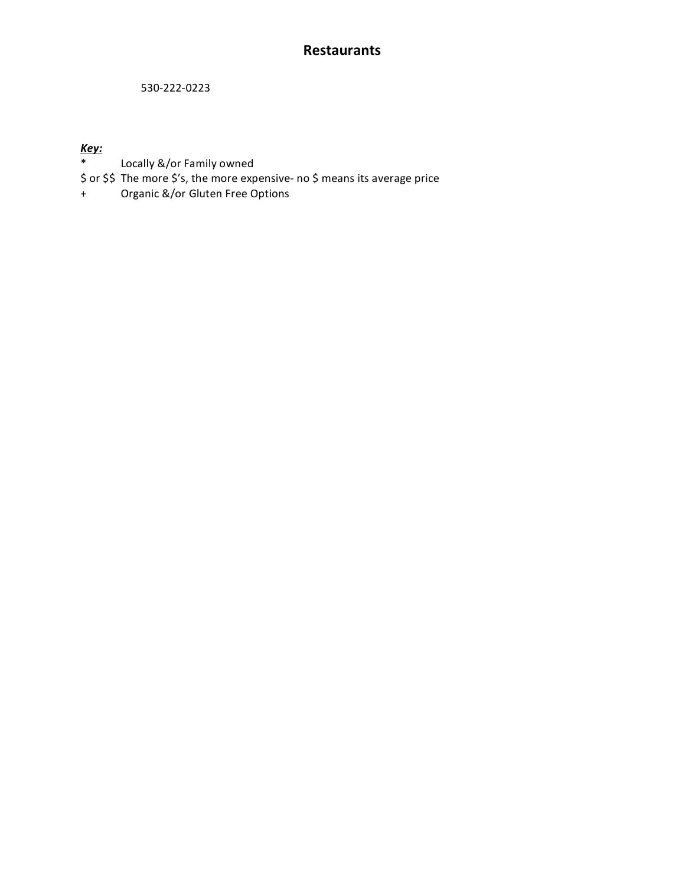530‐222‐0223

## *Key:*

- \* Locally
&/or
Family
owned
- \$ or \$\$ The more \$'s, the more expensive- no \$ means its average price
- + Organic
&/or
Gluten
Free
Options